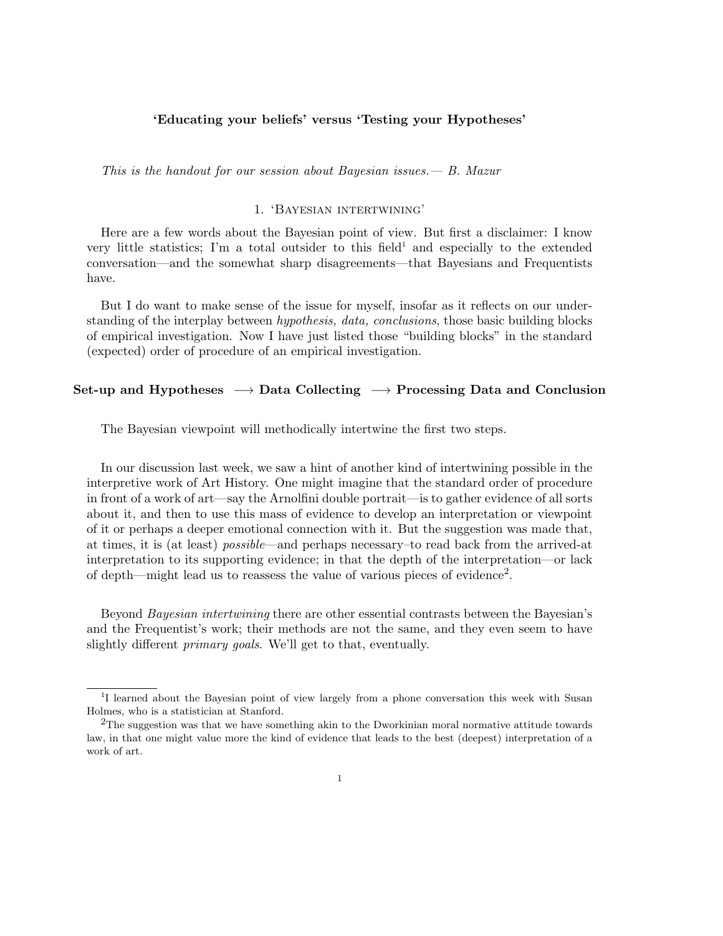## 'Educating your beliefs' versus 'Testing your Hypotheses'

This is the handout for our session about Bayesian issues.  $- B$ . Mazur

## 1. 'Bayesian intertwining'

Here are a few words about the Bayesian point of view. But first a disclaimer: I know very little statistics; I'm a total outsider to this field<sup>1</sup> and especially to the extended conversation—and the somewhat sharp disagreements—that Bayesians and Frequentists have.

But I do want to make sense of the issue for myself, insofar as it reflects on our understanding of the interplay between *hypothesis, data, conclusions*, those basic building blocks of empirical investigation. Now I have just listed those "building blocks" in the standard (expected) order of procedure of an empirical investigation.

# Set-up and Hypotheses  $\rightarrow$  Data Collecting  $\rightarrow$  Processing Data and Conclusion

The Bayesian viewpoint will methodically intertwine the first two steps.

In our discussion last week, we saw a hint of another kind of intertwining possible in the interpretive work of Art History. One might imagine that the standard order of procedure in front of a work of art—say the Arnolfini double portrait—is to gather evidence of all sorts about it, and then to use this mass of evidence to develop an interpretation or viewpoint of it or perhaps a deeper emotional connection with it. But the suggestion was made that, at times, it is (at least) possible—and perhaps necessary–to read back from the arrived-at interpretation to its supporting evidence; in that the depth of the interpretation—or lack of depth—might lead us to reassess the value of various pieces of evidence<sup>2</sup>.

Beyond Bayesian intertwining there are other essential contrasts between the Bayesian's and the Frequentist's work; their methods are not the same, and they even seem to have slightly different *primary goals*. We'll get to that, eventually.

<sup>&</sup>lt;sup>1</sup>I learned about the Bayesian point of view largely from a phone conversation this week with Susan Holmes, who is a statistician at Stanford.

<sup>2</sup>The suggestion was that we have something akin to the Dworkinian moral normative attitude towards law, in that one might value more the kind of evidence that leads to the best (deepest) interpretation of a work of art.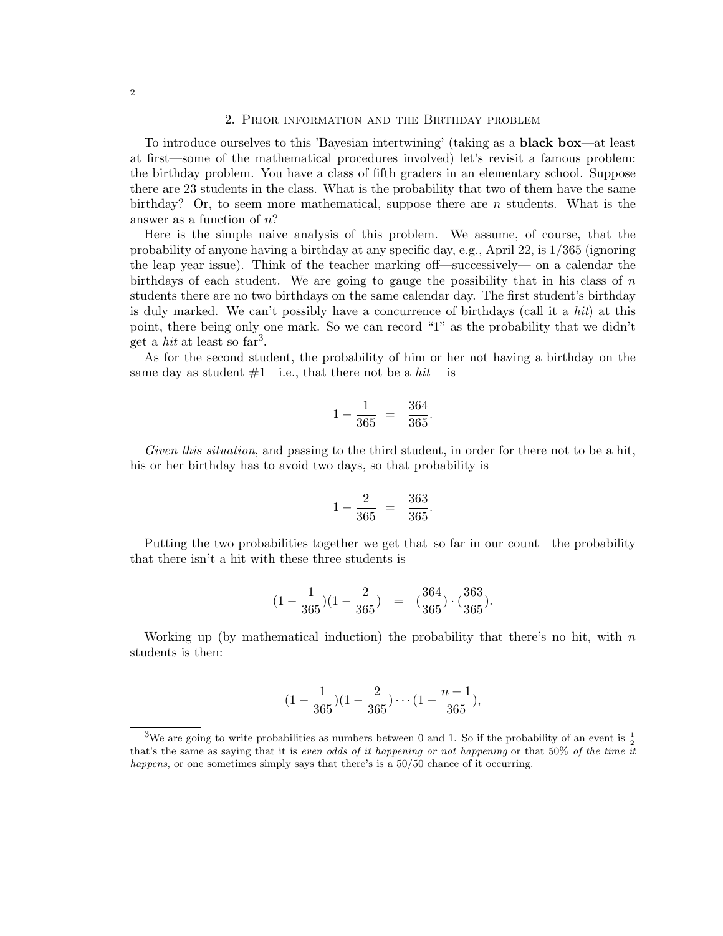### 2. Prior information and the Birthday problem

To introduce ourselves to this 'Bayesian intertwining' (taking as a black box—at least at first—some of the mathematical procedures involved) let's revisit a famous problem: the birthday problem. You have a class of fifth graders in an elementary school. Suppose there are 23 students in the class. What is the probability that two of them have the same birthday? Or, to seem more mathematical, suppose there are n students. What is the answer as a function of  $n$ ?

Here is the simple naive analysis of this problem. We assume, of course, that the probability of anyone having a birthday at any specific day, e.g., April 22, is 1/365 (ignoring the leap year issue). Think of the teacher marking off—successively— on a calendar the birthdays of each student. We are going to gauge the possibility that in his class of  $n$ students there are no two birthdays on the same calendar day. The first student's birthday is duly marked. We can't possibly have a concurrence of birthdays (call it a hit) at this point, there being only one mark. So we can record "1" as the probability that we didn't get a *hit* at least so  $far^3$ .

As for the second student, the probability of him or her not having a birthday on the same day as student  $#1$ —i.e., that there not be a hit— is

$$
1 - \frac{1}{365} = \frac{364}{365}.
$$

Given this situation, and passing to the third student, in order for there not to be a hit, his or her birthday has to avoid two days, so that probability is

$$
1 - \frac{2}{365} = \frac{363}{365}.
$$

Putting the two probabilities together we get that–so far in our count—the probability that there isn't a hit with these three students is

$$
(1-\frac{1}{365})(1-\frac{2}{365})\ \ =\ \ (\frac{364}{365})\cdot(\frac{363}{365}).
$$

Working up (by mathematical induction) the probability that there's no hit, with  $n$ students is then:

$$
(1 - \frac{1}{365})(1 - \frac{2}{365}) \cdots (1 - \frac{n-1}{365}),
$$

<sup>&</sup>lt;sup>3</sup>We are going to write probabilities as numbers between 0 and 1. So if the probability of an event is  $\frac{1}{2}$ that's the same as saying that it is *even odds of it happening or not happening* or that  $50\%$  of the time it happens, or one sometimes simply says that there's is a 50/50 chance of it occurring.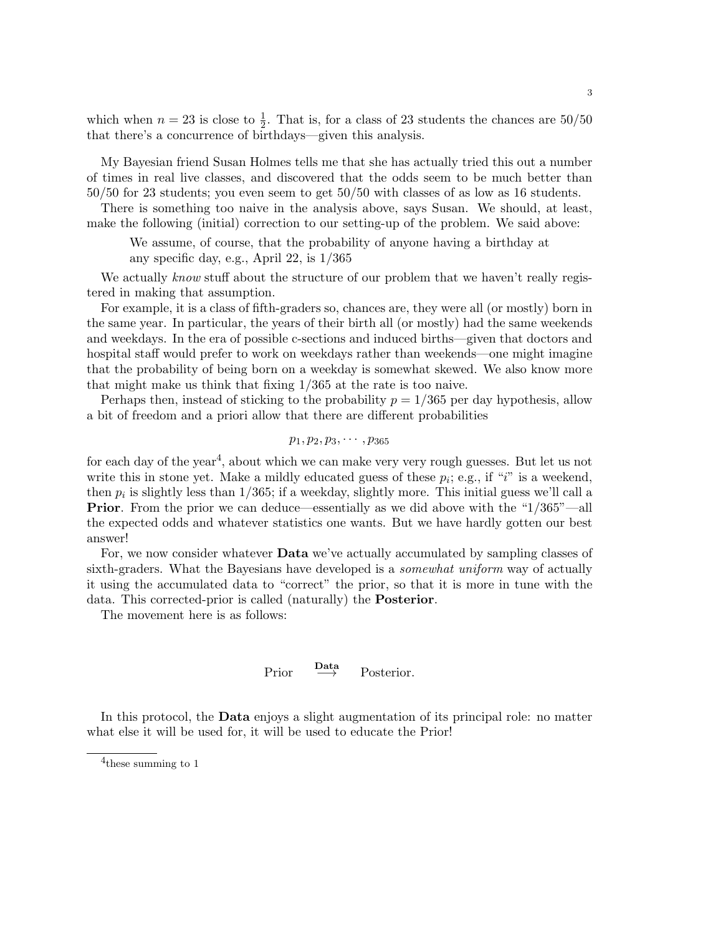which when  $n = 23$  is close to  $\frac{1}{2}$ . That is, for a class of 23 students the chances are 50/50 that there's a concurrence of birthdays—given this analysis.

My Bayesian friend Susan Holmes tells me that she has actually tried this out a number of times in real live classes, and discovered that the odds seem to be much better than 50/50 for 23 students; you even seem to get 50/50 with classes of as low as 16 students.

There is something too naive in the analysis above, says Susan. We should, at least, make the following (initial) correction to our setting-up of the problem. We said above:

We assume, of course, that the probability of anyone having a birthday at any specific day, e.g., April 22, is 1/365

We actually know stuff about the structure of our problem that we haven't really registered in making that assumption.

For example, it is a class of fifth-graders so, chances are, they were all (or mostly) born in the same year. In particular, the years of their birth all (or mostly) had the same weekends and weekdays. In the era of possible c-sections and induced births—given that doctors and hospital staff would prefer to work on weekdays rather than weekends—one might imagine that the probability of being born on a weekday is somewhat skewed. We also know more that might make us think that fixing 1/365 at the rate is too naive.

Perhaps then, instead of sticking to the probability  $p = 1/365$  per day hypothesis, allow a bit of freedom and a priori allow that there are different probabilities

$$
p_1,p_2,p_3,\cdots,p_{365}
$$

for each day of the year<sup>4</sup>, about which we can make very very rough guesses. But let us not write this in stone yet. Make a mildly educated guess of these  $p_i$ ; e.g., if "i" is a weekend, then  $p_i$  is slightly less than  $1/365$ ; if a weekday, slightly more. This initial guess we'll call a **Prior**. From the prior we can deduce—essentially as we did above with the "1/365"—all the expected odds and whatever statistics one wants. But we have hardly gotten our best answer!

For, we now consider whatever Data we've actually accumulated by sampling classes of sixth-graders. What the Bayesians have developed is a somewhat uniform way of actually it using the accumulated data to "correct" the prior, so that it is more in tune with the data. This corrected-prior is called (naturally) the Posterior.

The movement here is as follows:

Prior 
$$
\xrightarrow{\text{Data}}
$$
 Posterior.

In this protocol, the Data enjoys a slight augmentation of its principal role: no matter what else it will be used for, it will be used to educate the Prior!

<sup>4</sup> these summing to 1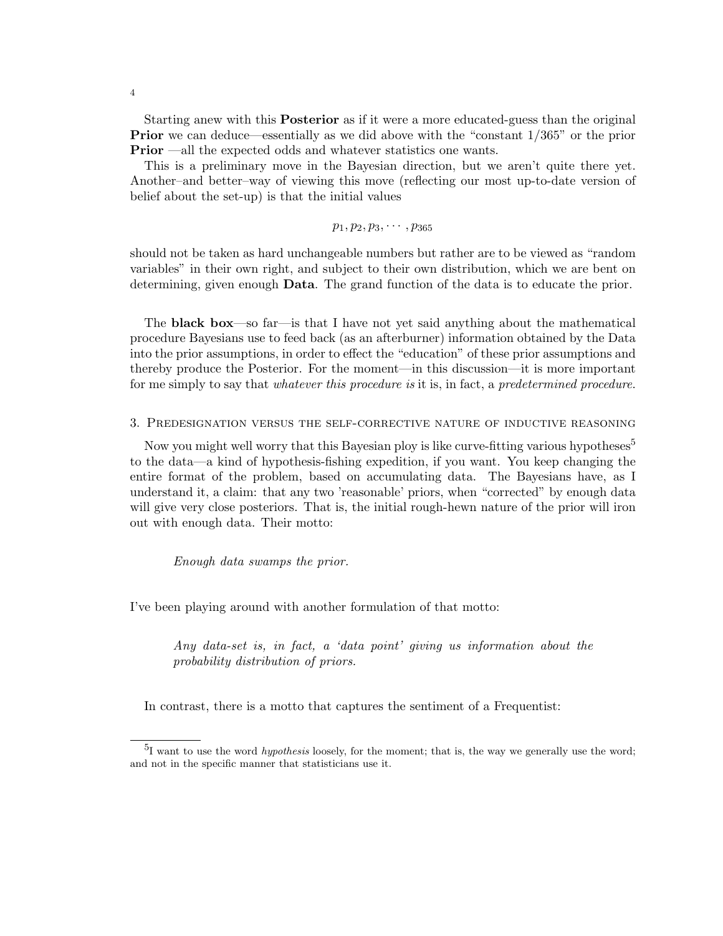Starting anew with this Posterior as if it were a more educated-guess than the original Prior we can deduce—essentially as we did above with the "constant 1/365" or the prior **Prior** —all the expected odds and whatever statistics one wants.

This is a preliminary move in the Bayesian direction, but we aren't quite there yet. Another–and better–way of viewing this move (reflecting our most up-to-date version of belief about the set-up) is that the initial values

$$
p_1,p_2,p_3,\cdots,p_{365}
$$

should not be taken as hard unchangeable numbers but rather are to be viewed as "random variables" in their own right, and subject to their own distribution, which we are bent on determining, given enough **Data**. The grand function of the data is to educate the prior.

The black box—so far—is that I have not yet said anything about the mathematical procedure Bayesians use to feed back (as an afterburner) information obtained by the Data into the prior assumptions, in order to effect the "education" of these prior assumptions and thereby produce the Posterior. For the moment—in this discussion—it is more important for me simply to say that *whatever this procedure is* it is, in fact, a *predetermined procedure*.

#### 3. Predesignation versus the self-corrective nature of inductive reasoning

Now you might well worry that this Bayesian ploy is like curve-fitting various hypotheses<sup>5</sup> to the data—a kind of hypothesis-fishing expedition, if you want. You keep changing the entire format of the problem, based on accumulating data. The Bayesians have, as I understand it, a claim: that any two 'reasonable' priors, when "corrected" by enough data will give very close posteriors. That is, the initial rough-hewn nature of the prior will iron out with enough data. Their motto:

Enough data swamps the prior.

I've been playing around with another formulation of that motto:

Any data-set is, in fact, a 'data point' giving us information about the probability distribution of priors.

In contrast, there is a motto that captures the sentiment of a Frequentist:

 $^{5}I$  want to use the word *hypothesis* loosely, for the moment; that is, the way we generally use the word; and not in the specific manner that statisticians use it.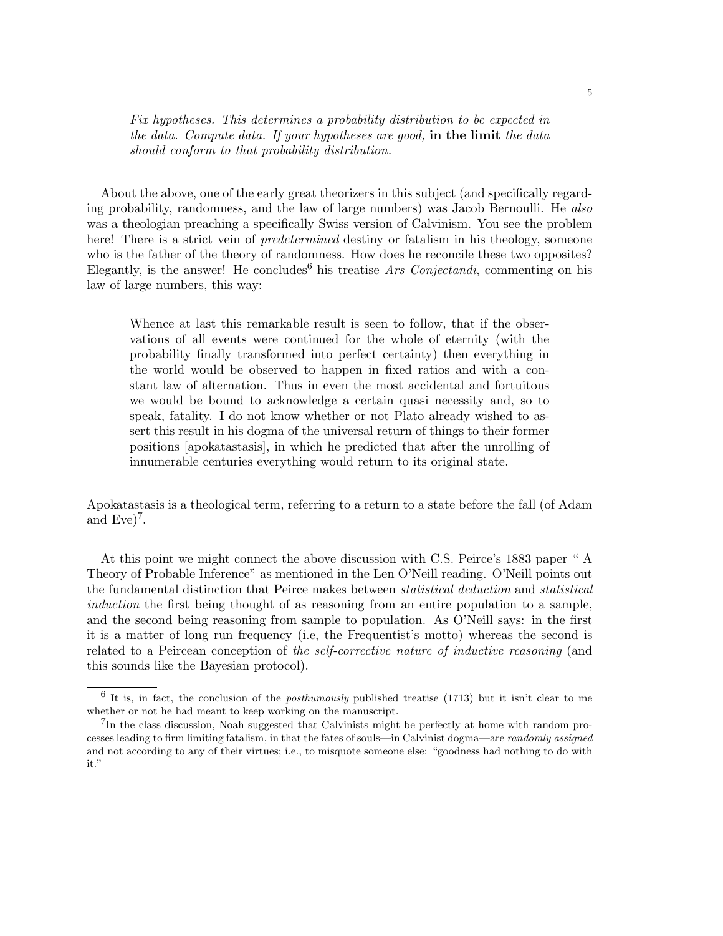Fix hypotheses. This determines a probability distribution to be expected in the data. Compute data. If your hypotheses are good, in the limit the data should conform to that probability distribution.

About the above, one of the early great theorizers in this subject (and specifically regarding probability, randomness, and the law of large numbers) was Jacob Bernoulli. He also was a theologian preaching a specifically Swiss version of Calvinism. You see the problem here! There is a strict vein of *predetermined* destiny or fatalism in his theology, someone who is the father of the theory of randomness. How does he reconcile these two opposites? Elegantly, is the answer! He concludes<sup>6</sup> his treatise *Ars Conjectandi*, commenting on his law of large numbers, this way:

Whence at last this remarkable result is seen to follow, that if the observations of all events were continued for the whole of eternity (with the probability finally transformed into perfect certainty) then everything in the world would be observed to happen in fixed ratios and with a constant law of alternation. Thus in even the most accidental and fortuitous we would be bound to acknowledge a certain quasi necessity and, so to speak, fatality. I do not know whether or not Plato already wished to assert this result in his dogma of the universal return of things to their former positions [apokatastasis], in which he predicted that after the unrolling of innumerable centuries everything would return to its original state.

Apokatastasis is a theological term, referring to a return to a state before the fall (of Adam and  $Eve)^7$ .

At this point we might connect the above discussion with C.S. Peirce's 1883 paper " A Theory of Probable Inference" as mentioned in the Len O'Neill reading. O'Neill points out the fundamental distinction that Peirce makes between statistical deduction and statistical induction the first being thought of as reasoning from an entire population to a sample, and the second being reasoning from sample to population. As O'Neill says: in the first it is a matter of long run frequency (i.e, the Frequentist's motto) whereas the second is related to a Peircean conception of the self-corrective nature of inductive reasoning (and this sounds like the Bayesian protocol).

 $6$  It is, in fact, the conclusion of the *posthumously* published treatise (1713) but it isn't clear to me whether or not he had meant to keep working on the manuscript.

<sup>&</sup>lt;sup>7</sup>In the class discussion, Noah suggested that Calvinists might be perfectly at home with random processes leading to firm limiting fatalism, in that the fates of souls—in Calvinist dogma—are randomly assigned and not according to any of their virtues; i.e., to misquote someone else: "goodness had nothing to do with it."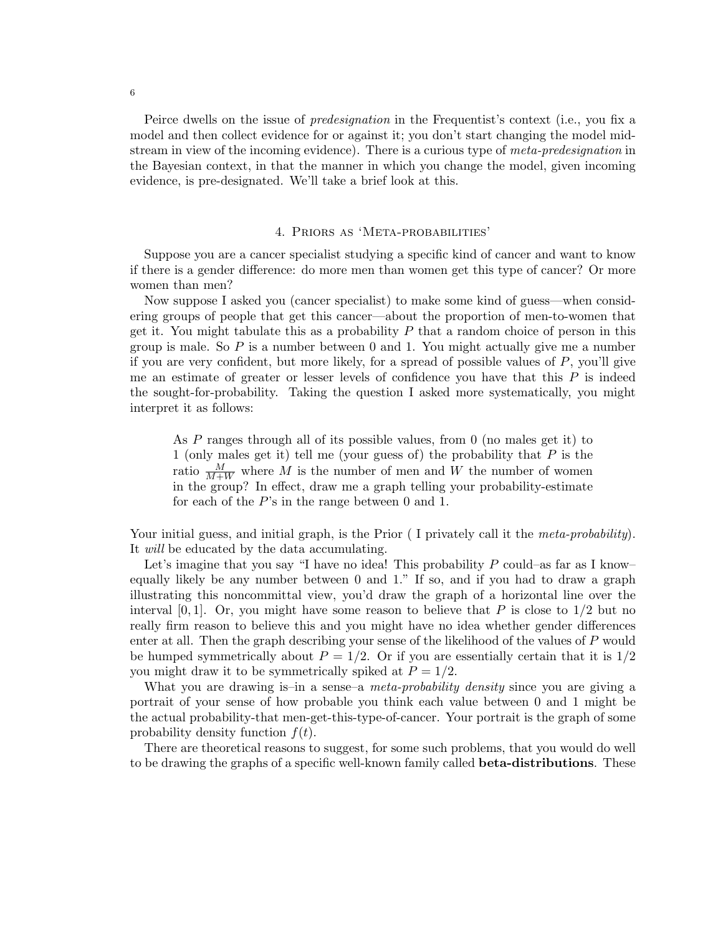Peirce dwells on the issue of predesignation in the Frequentist's context (i.e., you fix a model and then collect evidence for or against it; you don't start changing the model midstream in view of the incoming evidence). There is a curious type of meta-predesignation in the Bayesian context, in that the manner in which you change the model, given incoming evidence, is pre-designated. We'll take a brief look at this.

### 4. Priors as 'Meta-probabilities'

Suppose you are a cancer specialist studying a specific kind of cancer and want to know if there is a gender difference: do more men than women get this type of cancer? Or more women than men?

Now suppose I asked you (cancer specialist) to make some kind of guess—when considering groups of people that get this cancer—about the proportion of men-to-women that get it. You might tabulate this as a probability  $P$  that a random choice of person in this group is male. So  $P$  is a number between 0 and 1. You might actually give me a number if you are very confident, but more likely, for a spread of possible values of P, you'll give me an estimate of greater or lesser levels of confidence you have that this  $P$  is indeed the sought-for-probability. Taking the question I asked more systematically, you might interpret it as follows:

As P ranges through all of its possible values, from 0 (no males get it) to 1 (only males get it) tell me (your guess of) the probability that  $P$  is the ratio  $\frac{M}{M+W}$  where M is the number of men and W the number of women in the group? In effect, draw me a graph telling your probability-estimate for each of the  $P$ 's in the range between 0 and 1.

Your initial guess, and initial graph, is the Prior (I privately call it the meta-probability). It will be educated by the data accumulating.

Let's imagine that you say "I have no idea! This probability  $P$  could–as far as I know– equally likely be any number between 0 and 1." If so, and if you had to draw a graph illustrating this noncommittal view, you'd draw the graph of a horizontal line over the interval [0, 1]. Or, you might have some reason to believe that P is close to  $1/2$  but no really firm reason to believe this and you might have no idea whether gender differences enter at all. Then the graph describing your sense of the likelihood of the values of P would be humped symmetrically about  $P = 1/2$ . Or if you are essentially certain that it is  $1/2$ you might draw it to be symmetrically spiked at  $P = 1/2$ .

What you are drawing is–in a sense–a *meta-probability density* since you are giving a portrait of your sense of how probable you think each value between 0 and 1 might be the actual probability-that men-get-this-type-of-cancer. Your portrait is the graph of some probability density function  $f(t)$ .

There are theoretical reasons to suggest, for some such problems, that you would do well to be drawing the graphs of a specific well-known family called **beta-distributions**. These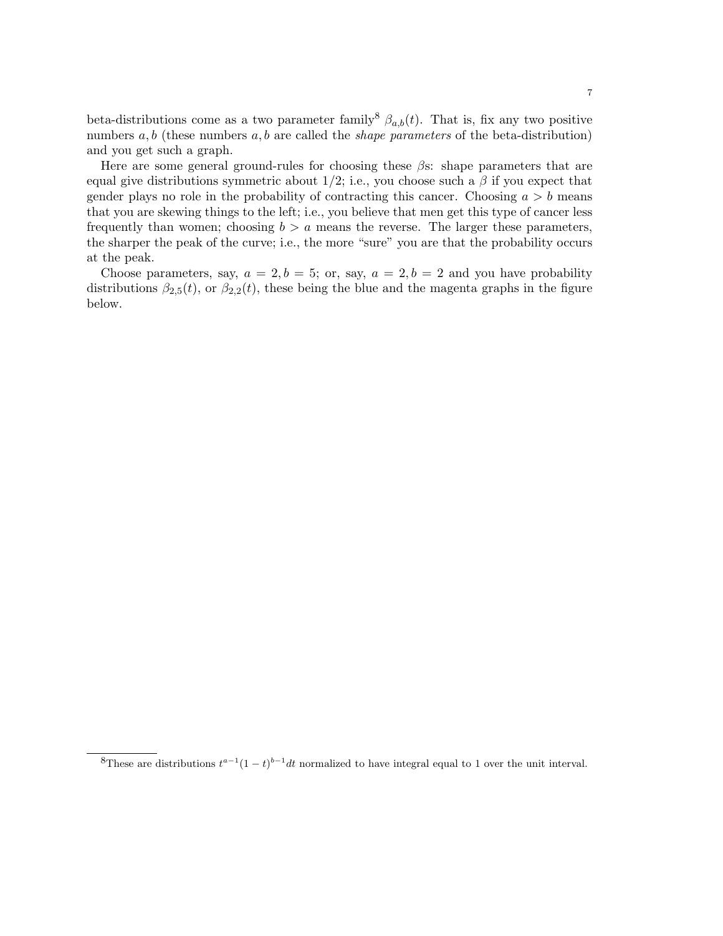beta-distributions come as a two parameter family<sup>8</sup>  $\beta_{a,b}(t)$ . That is, fix any two positive numbers  $a, b$  (these numbers  $a, b$  are called the *shape parameters* of the beta-distribution) and you get such a graph.

Here are some general ground-rules for choosing these  $\beta$ s: shape parameters that are equal give distributions symmetric about 1/2; i.e., you choose such a  $\beta$  if you expect that gender plays no role in the probability of contracting this cancer. Choosing  $a > b$  means that you are skewing things to the left; i.e., you believe that men get this type of cancer less frequently than women; choosing  $b > a$  means the reverse. The larger these parameters, the sharper the peak of the curve; i.e., the more "sure" you are that the probability occurs at the peak.

Choose parameters, say,  $a = 2, b = 5$ ; or, say,  $a = 2, b = 2$  and you have probability distributions  $\beta_{2,5}(t)$ , or  $\beta_{2,2}(t)$ , these being the blue and the magenta graphs in the figure below.

<sup>&</sup>lt;sup>8</sup>These are distributions  $t^{a-1}(1-t)^{b-1}dt$  normalized to have integral equal to 1 over the unit interval.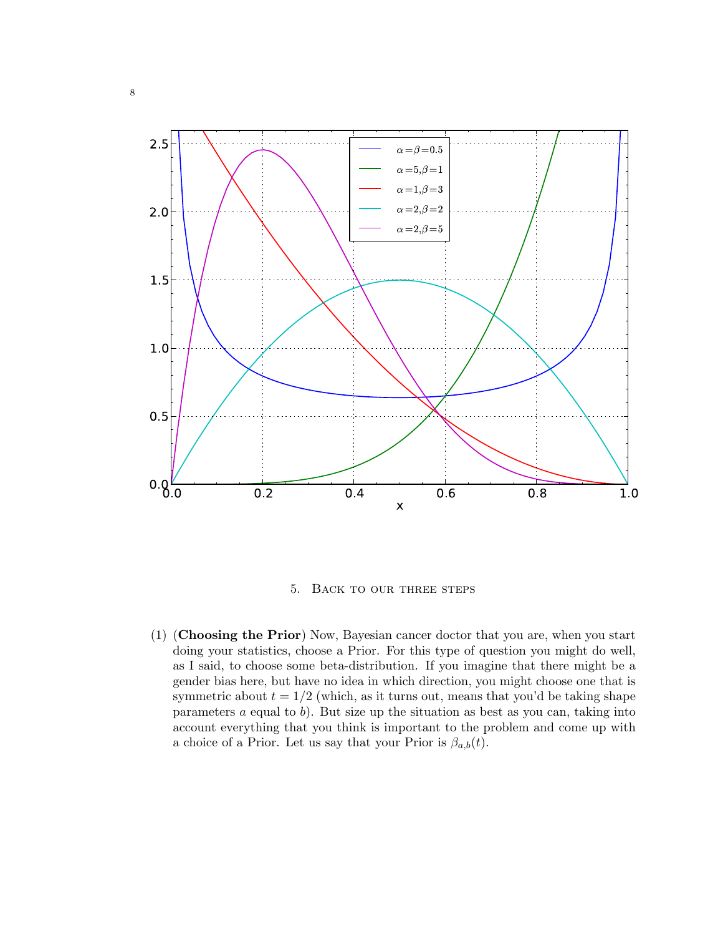

5. Back to our three steps

(1) (Choosing the Prior) Now, Bayesian cancer doctor that you are, when you start doing your statistics, choose a Prior. For this type of question you might do well, as I said, to choose some beta-distribution. If you imagine that there might be a gender bias here, but have no idea in which direction, you might choose one that is symmetric about  $t = 1/2$  (which, as it turns out, means that you'd be taking shape parameters a equal to b). But size up the situation as best as you can, taking into account everything that you think is important to the problem and come up with a choice of a Prior. Let us say that your Prior is  $\beta_{a,b}(t)$ .